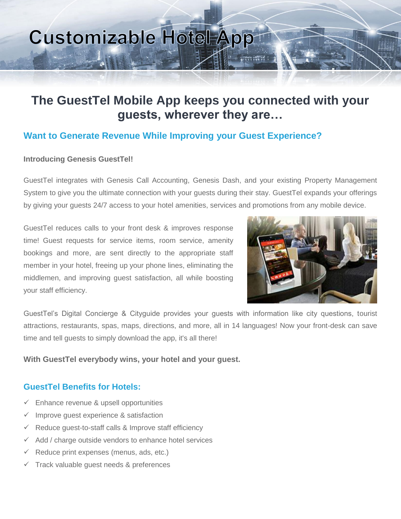# **Customizable Hotel App**

# **The GuestTel Mobile App keeps you connected with your guests, wherever they are…**

## **Want to Generate Revenue While Improving your Guest Experience?**

#### **Introducing Genesis GuestTel!**

GuestTel integrates with Genesis Call Accounting, Genesis Dash, and your existing Property Management System to give you the ultimate connection with your guests during their stay. GuestTel expands your offerings by giving your guests 24/7 access to your hotel amenities, services and promotions from any mobile device.

GuestTel reduces calls to your front desk & improves response time! Guest requests for service items, room service, amenity bookings and more, are sent directly to the appropriate staff member in your hotel, freeing up your phone lines, eliminating the middlemen, and improving guest satisfaction, all while boosting your staff efficiency.



GuestTel's Digital Concierge & Cityguide provides your guests with information like city questions, tourist attractions, restaurants, spas, maps, directions, and more, all in 14 languages! Now your front-desk can save time and tell guests to simply download the app, it's all there!

#### **With GuestTel everybody wins, your hotel and your guest.**

### **GuestTel Benefits for Hotels:**

- $\checkmark$  Enhance revenue & upsell opportunities
- $\checkmark$  Improve quest experience & satisfaction
- $\checkmark$  Reduce guest-to-staff calls & Improve staff efficiency
- $\checkmark$  Add / charge outside vendors to enhance hotel services
- $\checkmark$  Reduce print expenses (menus, ads, etc.)
- $\checkmark$  Track valuable guest needs & preferences